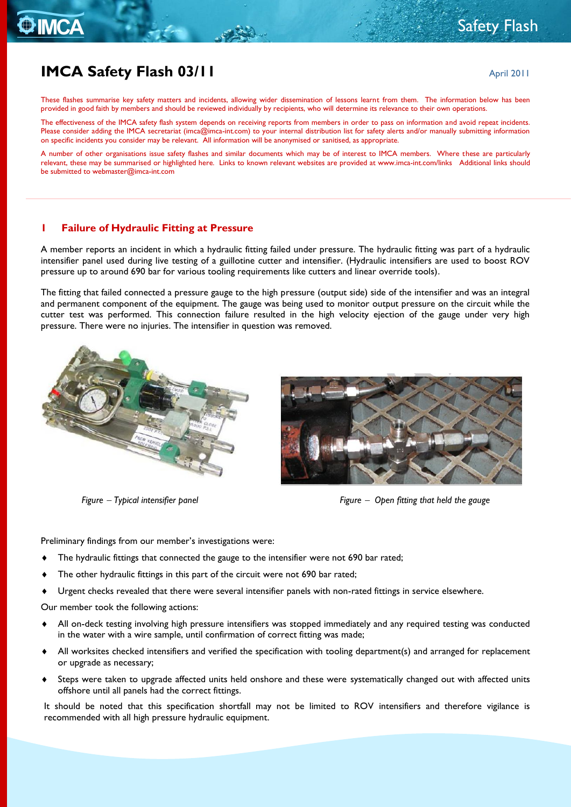# **IMCA Safety Flash 03/11** April 2011

These flashes summarise key safety matters and incidents, allowing wider dissemination of lessons learnt from them. The information below has been provided in good faith by members and should be reviewed individually by recipients, who will determine its relevance to their own operations.

The effectiveness of the IMCA safety flash system depends on receiving reports from members in order to pass on information and avoid repeat incidents. Please consider adding the IMCA secretariat [\(imca@imca-int.com\)](mailto:imca@imca-int.com) to your internal distribution list for safety alerts and/or manually submitting information on specific incidents you consider may be relevant. All information will be anonymised or sanitised, as appropriate.

A number of other organisations issue safety flashes and similar documents which may be of interest to IMCA members. Where these are particularly relevant, these may be summarised or highlighted here. Links to known relevant websites are provided at [www.imca-int.com/links](http://www.imca-int.com/links) Additional links should be submitted t[o webmaster@imca-int.com](mailto:webmaster@imca-int.com)

#### **1 Failure of Hydraulic Fitting at Pressure**

A member reports an incident in which a hydraulic fitting failed under pressure. The hydraulic fitting was part of a hydraulic intensifier panel used during live testing of a guillotine cutter and intensifier. (Hydraulic intensifiers are used to boost ROV pressure up to around 690 bar for various tooling requirements like cutters and linear override tools).

The fitting that failed connected a pressure gauge to the high pressure (output side) side of the intensifier and was an integral and permanent component of the equipment. The gauge was being used to monitor output pressure on the circuit while the cutter test was performed. This connection failure resulted in the high velocity ejection of the gauge under very high pressure. There were no injuries. The intensifier in question was removed.





*Figure Typical intensifier panel Figure Open fitting that held the gauge*

Preliminary findings from our member's investigations were:

- The hydraulic fittings that connected the gauge to the intensifier were not 690 bar rated;
- The other hydraulic fittings in this part of the circuit were not 690 bar rated;
- Urgent checks revealed that there were several intensifier panels with non-rated fittings in service elsewhere.

Our member took the following actions:

- All on-deck testing involving high pressure intensifiers was stopped immediately and any required testing was conducted in the water with a wire sample, until confirmation of correct fitting was made;
- All worksites checked intensifiers and verified the specification with tooling department(s) and arranged for replacement or upgrade as necessary;
- Steps were taken to upgrade affected units held onshore and these were systematically changed out with affected units offshore until all panels had the correct fittings.

It should be noted that this specification shortfall may not be limited to ROV intensifiers and therefore vigilance is recommended with all high pressure hydraulic equipment.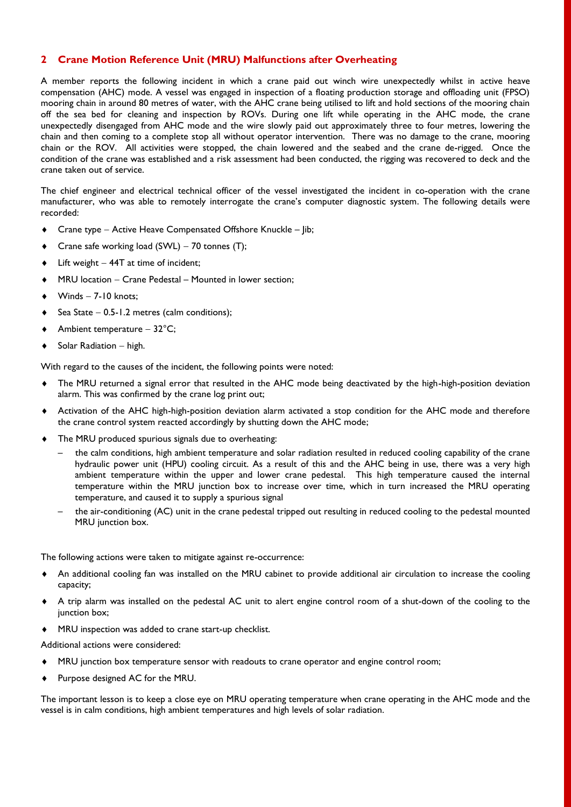#### **2 Crane Motion Reference Unit (MRU) Malfunctions after Overheating**

A member reports the following incident in which a crane paid out winch wire unexpectedly whilst in active heave compensation (AHC) mode. A vessel was engaged in inspection of a floating production storage and offloading unit (FPSO) mooring chain in around 80 metres of water, with the AHC crane being utilised to lift and hold sections of the mooring chain off the sea bed for cleaning and inspection by ROVs. During one lift while operating in the AHC mode, the crane unexpectedly disengaged from AHC mode and the wire slowly paid out approximately three to four metres, lowering the chain and then coming to a complete stop all without operator intervention. There was no damage to the crane, mooring chain or the ROV. All activities were stopped, the chain lowered and the seabed and the crane de-rigged. Once the condition of the crane was established and a risk assessment had been conducted, the rigging was recovered to deck and the crane taken out of service.

The chief engineer and electrical technical officer of the vessel investigated the incident in co-operation with the crane manufacturer, who was able to remotely interrogate the crane's computer diagnostic system. The following details were recorded:

- $\triangleleft$  Crane type Active Heave Compensated Offshore Knuckle Jib;
- $\blacklozenge$  Crane safe working load (SWL) 70 tonnes (T);
- $\bullet$  Lift weight  $-$  44T at time of incident;
- MRU location Crane Pedestal Mounted in lower section;
- $\blacklozenge$  Winds  $-$  7-10 knots:
- Sea State  $-$  0.5-1.2 metres (calm conditions);
- $\blacklozenge$  Ambient temperature 32°C;
- Solar Radiation  $-$  high.

With regard to the causes of the incident, the following points were noted:

- The MRU returned a signal error that resulted in the AHC mode being deactivated by the high-high-position deviation alarm. This was confirmed by the crane log print out;
- Activation of the AHC high-high-position deviation alarm activated a stop condition for the AHC mode and therefore the crane control system reacted accordingly by shutting down the AHC mode;
- The MRU produced spurious signals due to overheating:
	- the calm conditions, high ambient temperature and solar radiation resulted in reduced cooling capability of the crane hydraulic power unit (HPU) cooling circuit. As a result of this and the AHC being in use, there was a very high ambient temperature within the upper and lower crane pedestal. This high temperature caused the internal temperature within the MRU junction box to increase over time, which in turn increased the MRU operating temperature, and caused it to supply a spurious signal
	- the air-conditioning (AC) unit in the crane pedestal tripped out resulting in reduced cooling to the pedestal mounted MRU junction box.

The following actions were taken to mitigate against re-occurrence:

- An additional cooling fan was installed on the MRU cabinet to provide additional air circulation to increase the cooling capacity;
- A trip alarm was installed on the pedestal AC unit to alert engine control room of a shut-down of the cooling to the junction box;
- MRU inspection was added to crane start-up checklist.

Additional actions were considered:

- MRU junction box temperature sensor with readouts to crane operator and engine control room;
- ◆ Purpose designed AC for the MRU.

The important lesson is to keep a close eye on MRU operating temperature when crane operating in the AHC mode and the vessel is in calm conditions, high ambient temperatures and high levels of solar radiation.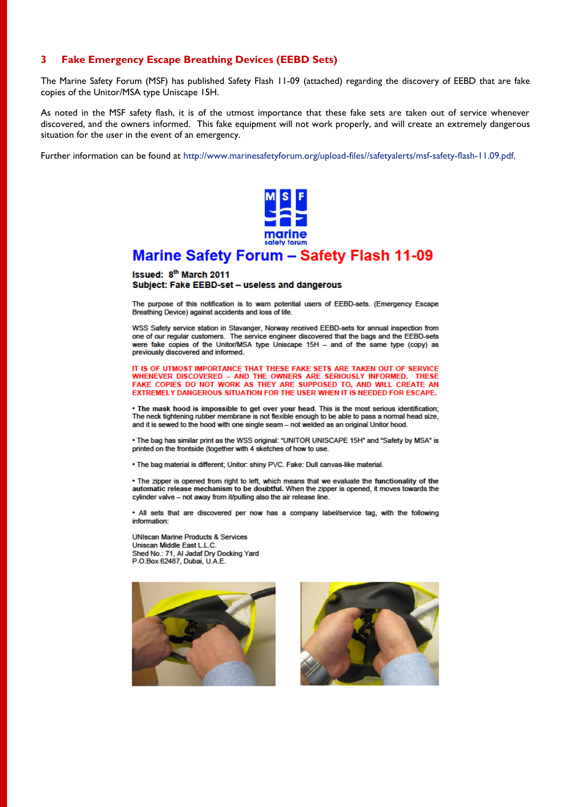#### **3 Fake Emergency Escape Breathing Devices (EEBD Sets)**

The Marine Safety Forum (MSF) has published Safety Flash 11-09 (attached) regarding the discovery of EEBD that are fake copies of the Unitor/MSA type Uniscape 15H.

As noted in the MSF safety flash, it is of the utmost importance that these fake sets are taken out of service whenever discovered, and the owners informed. This fake equipment will not work properly, and will create an extremely dangerous situation for the user in the event of an emergency.

Further information can be found at [http://www.marinesafetyforum.org/upload-files//safetyalerts/msf-safety-flash-11.09.pdf.](http://www.marinesafetyforum.org/upload-files/safetyalerts/msf-safety-flash-11.09.pdf)



## **Marine Safety Forum - Safety Flash 11-09**

Issued: 8<sup>th</sup> March 2011 Subject: Fake EEBD-set - useless and dangerous

The purpose of this notification is to warn potential users of EEBD-sets. (Emergency Escape Breathing Device) against accidents and loss of life.

WSS Safety service station in Stavanger, Norway received EEBD-sets for annual inspection from one of our regular customers. The service engineer discovered that the bags and the EEBD-sets were fake copies of the Unitor/MSA type Uniscape 15H - and of the same type (copy) as previously discovered and informed.

IT IS OF UTMOST IMPORTANCE THAT THESE FAKE SETS ARE TAKEN OUT OF SERVICE WHENEVER DISCOVERED - AND THE OWNERS ARE SERIOUSLY INFORMED. **THESE** FAKE COPIES DO NOT WORK AS THEY ARE SUPPOSED TO, AND WILL CREATE AN EXTREMELY DANGEROUS SITUATION FOR THE USER WHEN IT IS NEEDED FOR ESCAPE.

. The mask hood is impossible to get over your head. This is the most serious identification; The neck tightening rubber membrane is not flexible enough to be able to pass a normal head size, and it is sewed to the hood with one single seam - not welded as an original Unitor hood.

. The bag has similar print as the WSS original: "UNITOR UNISCAPE 15H" and "Safety by MSA" is printed on the frontside (together with 4 sketches of how to use.

. The bag material is different; Unitor: shiny PVC. Fake: Dull canvas-like material.

. The zipper is opened from right to left, which means that we evaluate the functionality of the automatic release mechanism to be doubtful. When the zipper is opened, it moves towards the cylinder valve - not away from it/pulling also the air release line.

. All sets that are discovered per now has a company label/service tag, with the following information:

**UNIscan Marine Products & Services** Uniscan Middle East L.L.C. Shed No.: 71, Al Jadaf Dry Docking Yard<br>P.O.Box 62487, Dubai, U.A.E.